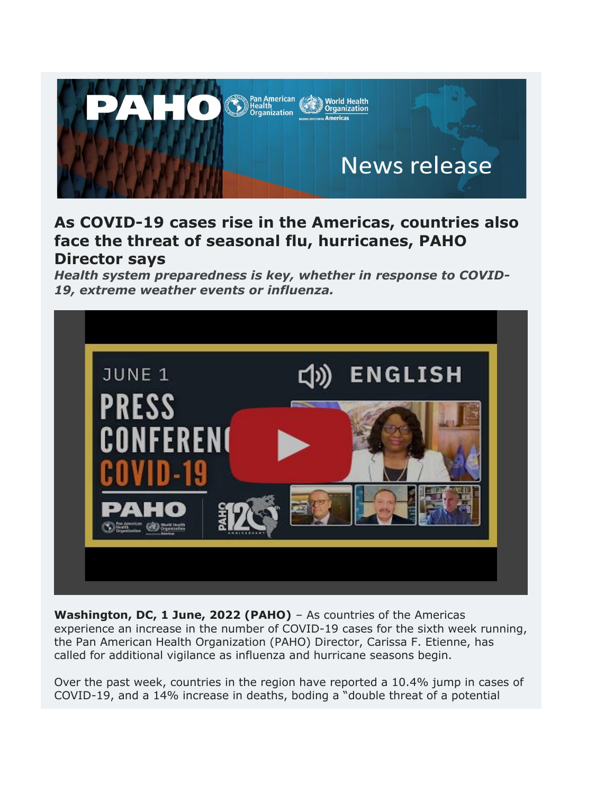

## **As COVID-19 cases rise in the Americas, countries also face the threat of seasonal flu, hurricanes, PAHO Director says**

*Health system preparedness is key, whether in response to COVID-19, extreme weather events or influenza.*



**Washington, DC, 1 June, 2022 (PAHO)** – As countries of the Americas experience an increase in the number of COVID-19 cases for the sixth week running, the Pan American Health Organization (PAHO) Director, Carissa F. Etienne, has called for additional vigilance as influenza and hurricane seasons begin.

Over the past week, countries in the region have reported a 10.4% jump in cases of COVID-19, and a 14% increase in deaths, boding a "double threat of a potential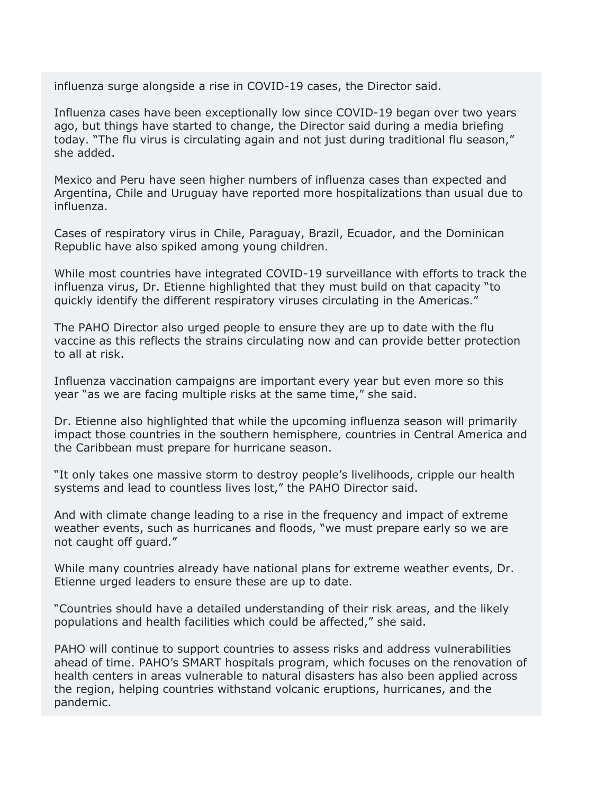influenza surge alongside a rise in COVID-19 cases, the Director said.

Influenza cases have been exceptionally low since COVID-19 began over two years ago, but things have started to change, the Director said during a media briefing today. "The flu virus is circulating again and not just during traditional flu season," she added.

Mexico and Peru have seen higher numbers of influenza cases than expected and Argentina, Chile and Uruguay have reported more hospitalizations than usual due to influenza.

Cases of respiratory virus in Chile, Paraguay, Brazil, Ecuador, and the Dominican Republic have also spiked among young children.

While most countries have integrated COVID-19 surveillance with efforts to track the influenza virus, Dr. Etienne highlighted that they must build on that capacity "to quickly identify the different respiratory viruses circulating in the Americas."

The PAHO Director also urged people to ensure they are up to date with the flu vaccine as this reflects the strains circulating now and can provide better protection to all at risk.

Influenza vaccination campaigns are important every year but even more so this year "as we are facing multiple risks at the same time," she said.

Dr. Etienne also highlighted that while the upcoming influenza season will primarily impact those countries in the southern hemisphere, countries in Central America and the Caribbean must prepare for hurricane season.

"It only takes one massive storm to destroy people's livelihoods, cripple our health systems and lead to countless lives lost," the PAHO Director said.

And with climate change leading to a rise in the frequency and impact of extreme weather events, such as hurricanes and floods, "we must prepare early so we are not caught off guard."

While many countries already have national plans for extreme weather events, Dr. Etienne urged leaders to ensure these are up to date.

"Countries should have a detailed understanding of their risk areas, and the likely populations and health facilities which could be affected," she said.

PAHO will continue to support countries to assess risks and address vulnerabilities ahead of time. PAHO's SMART hospitals program, which focuses on the renovation of health centers in areas vulnerable to natural disasters has also been applied across the region, helping countries withstand volcanic eruptions, hurricanes, and the pandemic.